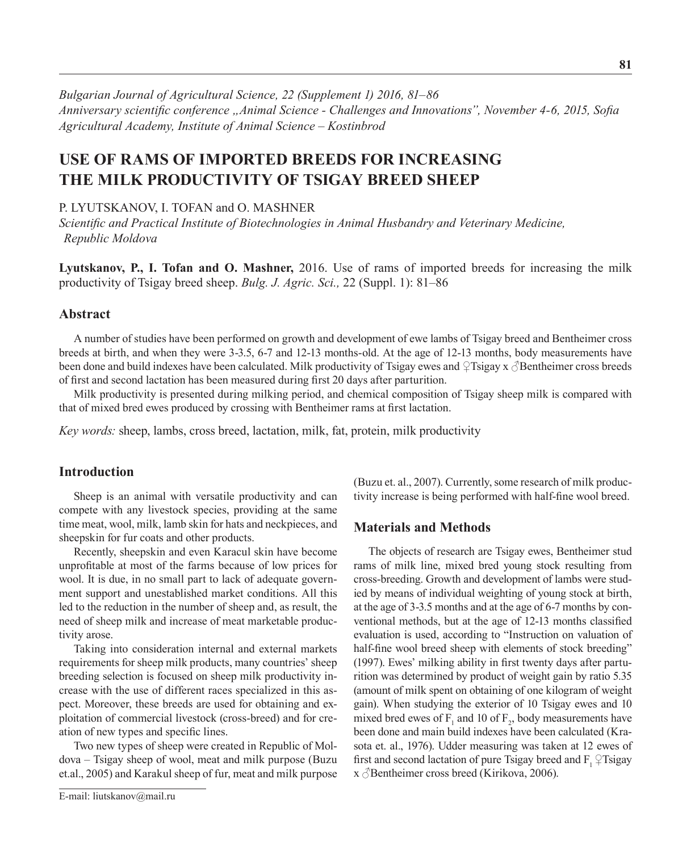*Bulgarian Journal of Agricultural Science, 22 (Supplement 1) 2016, 81–86 Anniversary scientific conference "Animal Science - Challenges and Innovations", November 4-6, 2015, Sofia Agricultural Academy, Institute оf Animal Science – Kostinbrod*

# **Use of Rams of Imported Breeds for Increasing the Milk Productivity of Tsigay Breed Sheep**

### P. LYUTSKANOV, I. TOFAN and O. MASHNER

*Scientific and Practical Institute of Biotechnologies in Animal Husbandry and Veterinary Medicine, Republic Moldova*

**Lyutskanov, P., I. Tofan and O. Mashner,** 2016. Use of rams of imported breeds for increasing the milk productivity of Tsigay breed sheep. *Bulg. J. Agric. Sci.,* 22 (Suppl. 1): 81–86

## **Abstract**

A number of studies have been performed on growth and development of ewe lambs of Tsigay breed and Bentheimer cross breeds at birth, and when they were 3-3.5, 6-7 and 12-13 months-old. At the age of 12-13 months, body measurements have been done and build indexes have been calculated. Milk productivity of Tsigay ewes and  $\varphi$ Tsigay x  $\varphi$ Bentheimer cross breeds of first and second lactation has been measured during first 20 days after parturition.

Milk productivity is presented during milking period, and chemical composition of Tsigay sheep milk is compared with that of mixed bred ewes produced by crossing with Bentheimer rams at first lactation.

*Key words:* sheep, lambs, cross breed, lactation, milk, fat, protein, milk productivity

# **Introduction**

Sheep is an animal with versatile productivity and can compete with any livestock species, providing at the same time meat, wool, milk, lamb skin for hats and neckpieces, and sheepskin for fur coats and other products.

Recently, sheepskin and even Karacul skin have become unprofitable at most of the farms because of low prices for wool. It is due, in no small part to lack of adequate government support and unestablished market conditions. All this led to the reduction in the number of sheep and, as result, the need of sheep milk and increase of meat marketable productivity arose.

Taking into consideration internal and external markets requirements for sheep milk products, many countries' sheep breeding selection is focused on sheep milk productivity increase with the use of different races specialized in this aspect. Moreover, these breeds are used for obtaining and exploitation of commercial livestock (cross-breed) and for creation of new types and specific lines.

Two new types of sheep were created in Republic of Moldova – Tsigay sheep of wool, meat and milk purpose (Buzu et.al., 2005) and Karakul sheep of fur, meat and milk purpose

(Buzu et. al., 2007). Currently, some research of milk productivity increase is being performed with half-fine wool breed.

## **Materials and Methods**

The objects of research are Tsigay ewes, Bentheimer stud rams of milk line, mixed bred young stock resulting from cross-breeding. Growth and development of lambs were studied by means of individual weighting of young stock at birth, at the age of 3-3.5 months and at the age of 6-7 months by conventional methods, but at the age of 12-13 months classified evaluation is used, according to "Instruction on valuation of half-fine wool breed sheep with elements of stock breeding" (1997). Ewes' milking ability in first twenty days after parturition was determined by product of weight gain by ratio 5.35 (amount of milk spent on obtaining of one kilogram of weight gain). When studying the exterior of 10 Tsigay ewes and 10 mixed bred ewes of  $F_1$  and 10 of  $F_2$ , body measurements have been done and main build indexes have been calculated (Krasota et. al., 1976). Udder measuring was taken at 12 ewes of first and second lactation of pure Tsigay breed and F,  $\varphi$ Tsigay x  $\Diamond$ Bentheimer cross breed (Kirikova, 2006).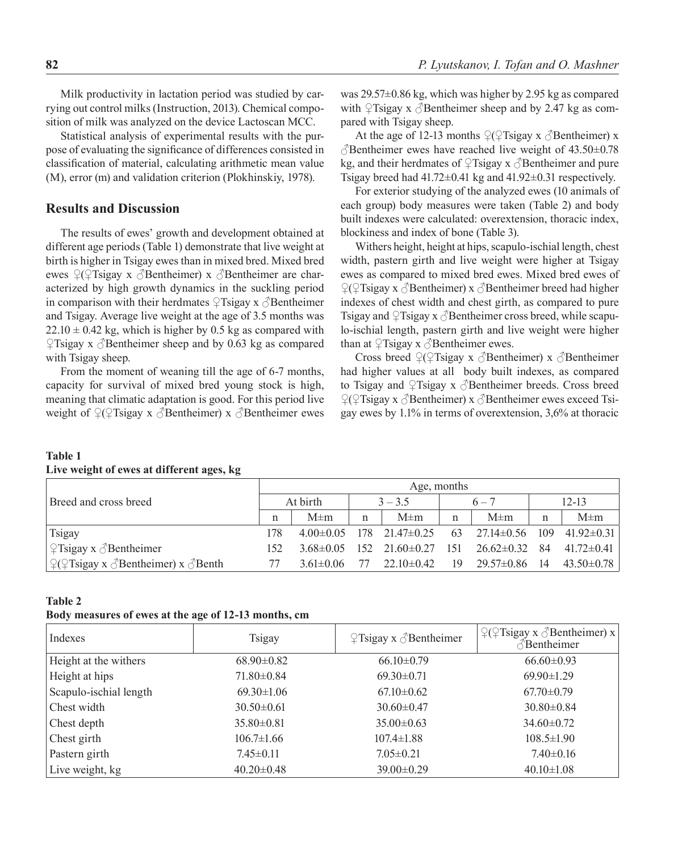Milk productivity in lactation period was studied by carrying out control milks (Instruction, 2013). Chemical composition of milk was analyzed on the device Lactoscan MCC.

Statistical analysis of experimental results with the purpose of evaluating the significance of differences consisted in classification of material, calculating arithmetic mean value (M), error (m) and validation criterion (Plokhinskiy, 1978).

# **Results and Discussion**

The results of ewes' growth and development obtained at different age periods (Table 1) demonstrate that live weight at birth is higher in Tsigay ewes than in mixed bred. Mixed bred ewes  $\mathcal{L}(\mathcal{L})$ Tsigay x  $\mathcal{L}$ Bentheimer) x  $\mathcal{L}$ Bentheimer are characterized by high growth dynamics in the suckling period in comparison with their herdmates  $\mathcal{L}$ Tsigay x  $\Diamond$ Bentheimer and Tsigay. Average live weight at the age of 3.5 months was  $22.10 \pm 0.42$  kg, which is higher by 0.5 kg as compared with  $\sqrt{2}$ Tsigay x  $\sqrt{3}$ Bentheimer sheep and by 0.63 kg as compared with Tsigay sheep.

From the moment of weaning till the age of 6-7 months, capacity for survival of mixed bred young stock is high, meaning that climatic adaptation is good. For this period live weight of  $\mathcal{L}(\mathcal{L})$  is a  $\mathcal{L}(\mathcal{L})$  such a  $\mathcal{L}(\mathcal{L})$  and  $\mathcal{L}(\mathcal{L})$  is a set of  $\mathcal{L}(\mathcal{L})$  is a set of  $\mathcal{L}(\mathcal{L})$  is a set of  $\mathcal{L}(\mathcal{L})$  is a set of  $\mathcal{L}(\mathcal{L})$  is a set of  $\mathcal{L}(\mathcal{L})$  was 29.57±0.86 kg, which was higher by 2.95 kg as compared with  $\sqrt{2}$ Tsigay x  $\sqrt{3}$ Bentheimer sheep and by 2.47 kg as compared with Tsigay sheep.

At the age of 12-13 months  $\mathcal{Q}(\mathcal{Q})$  Tsigay x  $\mathcal{S}$  Bentheimer) x  $\triangle$ Bentheimer ewes have reached live weight of 43.50 $\pm$ 0.78 kg, and their herdmates of  $\mathcal{L}$ Tsigay x  $\mathcal{L}$ Bentheimer and pure Tsigay breed had  $41.72 \pm 0.41$  kg and  $41.92 \pm 0.31$  respectively.

For exterior studying of the analyzed ewes (10 animals of each group) body measures were taken (Table 2) and body built indexes were calculated: overextension, thoracic index, blockiness and index of bone (Table 3).

Withers height, height at hips, scapulo-ischial length, chest width, pastern girth and live weight were higher at Tsigay ewes as compared to mixed bred ewes. Mixed bred ewes of ♀(♀Tsigay х ♂Bentheimer) x ♂Bentheimer breed had higher indexes of chest width and chest girth, as compared to pure Tsigay and  $\varphi$ Tsigay x  $\varphi$ Bentheimer cross breed, while scapulo-ischial length, pastern girth and live weight were higher than at  $\varphi$ Tsigay x  $\varphi$ Bentheimer ewes.

Cross breed  $\mathcal{Q}(\mathcal{Q})$ Tsigay x  $\mathcal{Q}$ Bentheimer) x  $\mathcal{Q}$ Bentheimer had higher values at all body built indexes, as compared to Tsigay and  $\sqrt{2}$ Tsigay x  $\sqrt{3}$ Bentheimer breeds. Cross breed ♀(♀Tsigay х ♂Bentheimer) x ♂Bentheimer ewes exceed Tsigay ewes by 1.1% in terms of overextension, 3,6% at thoracic

|                                                                          |     | Age, months     |      |                        |     |                     |      |                  |  |
|--------------------------------------------------------------------------|-----|-----------------|------|------------------------|-----|---------------------|------|------------------|--|
| Breed and cross breed                                                    |     | At birth        |      | $3 - 3.5$              |     | $6 - 7$             |      | $12 - 13$        |  |
|                                                                          | n   | $M \pm m$       | n    | $M \pm m$              | n   | $M \pm m$           | n    | $M \pm m$        |  |
| Tsigay                                                                   | 178 | $4.00 \pm 0.05$ |      | $178$ $21.47 \pm 0.25$ | 63  | $27.14 \pm 0.56$    | 109  | $41.92 \pm 0.31$ |  |
| $\sqrt{2}$ Tsigay x $\sqrt{3}$ Bentheimer                                | 152 | $3.68 \pm 0.05$ | -152 | $21.60 \pm 0.27$       | 151 | $26.62 \pm 0.32$ 84 |      | $41.72 \pm 0.41$ |  |
| $\sqrt{2}$ $\sqrt{2}$ Tsigay x $\sqrt{3}$ Bentheimer) x $\sqrt{3}$ Benth |     | $3.61 \pm 0.06$ |      | $22.10 \pm 0.42$       | 19  | 29.57±0.86          | - 14 | $43.50 \pm 0.78$ |  |

#### **Table 1 Live weight of ewes at different ages, kg**

#### **Table 2**

#### **Body measures of ewes at the age of 12-13 months, cm**

| Indexes                | Tsigay           | $\sqrt{2}$ Tsigay x $\sqrt{3}$ Bentheimer | $\sqrt{2}$ ( $\sqrt{2}$ Tsigay x $\sqrt{3}$ Bentheimer) x<br>♂Bentheimer |
|------------------------|------------------|-------------------------------------------|--------------------------------------------------------------------------|
| Height at the withers  | $68.90 \pm 0.82$ | $66.10 \pm 0.79$                          | $66.60 \pm 0.93$                                                         |
| Height at hips         | $71.80 \pm 0.84$ | $69.30 \pm 0.71$                          | $69.90 \pm 1.29$                                                         |
| Scapulo-ischial length | $69.30 \pm 1.06$ | $67.10 \pm 0.62$                          | $67.70 \pm 0.79$                                                         |
| Chest width            | $30.50 \pm 0.61$ | $30.60 \pm 0.47$                          | $30.80 \pm 0.84$                                                         |
| Chest depth            | $35.80 \pm 0.81$ | $35.00 \pm 0.63$                          | $34.60 \pm 0.72$                                                         |
| Chest girth            | $106.7 \pm 1.66$ | $107.4 \pm 1.88$                          | $108.5 \pm 1.90$                                                         |
| Pastern girth          | $7.45 \pm 0.11$  | $7.05 \pm 0.21$                           | $7.40 \pm 0.16$                                                          |
| Live weight, kg        | $40.20 \pm 0.48$ | $39.00 \pm 0.29$                          | $40.10 \pm 1.08$                                                         |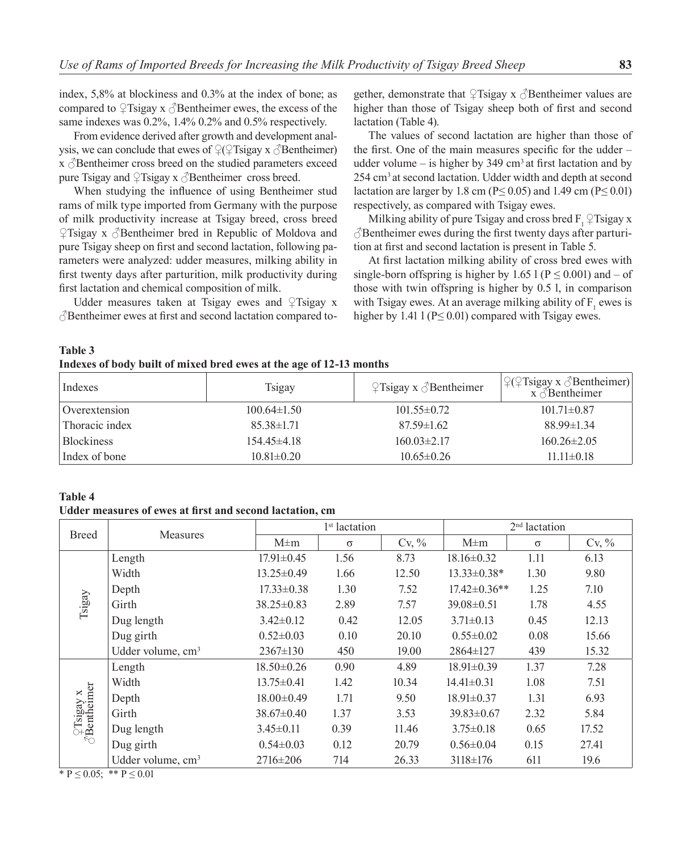index, 5,8% at blockiness and 0.3% at the index of bone; as compared to  $\mathcal{L}$ Tsigay x  $\Diamond$ Bentheimer ewes, the excess of the same indexes was 0.2%, 1.4% 0.2% and 0.5% respectively.

From evidence derived after growth and development analvsis, we can conclude that ewes of  $\mathcal{Q}(\mathcal{Q})$  sigay x  $\mathcal{Q}(\mathcal{Q})$  Bentheimer)  $x \, \delta$ Bentheimer cross breed on the studied parameters exceed pure Tsigay and  $\mathcal{L}$ Tsigay x  $\triangle$ Bentheimer cross breed.

When studying the influence of using Bentheimer stud rams of milk type imported from Germany with the purpose of milk productivity increase at Tsigay breed, cross breed  $\angle$ Tsigay x  $\triangle$ Bentheimer bred in Republic of Moldova and pure Tsigay sheep on first and second lactation, following parameters were analyzed: udder measures, milking ability in first twenty days after parturition, milk productivity during first lactation and chemical composition of milk.

Udder measures taken at Tsigay ewes and ♀Tsigay х  $\beta$ Bentheimer ewes at first and second lactation compared to-

gether, demonstrate that  $\mathcal{L}$ Tsigay x  $\mathcal{L}$ Bentheimer values are higher than those of Tsigay sheep both of first and second lactation (Table 4).

The values of second lactation are higher than those of the first. One of the main measures specific for the udder – udder volume – is higher by  $349 \text{ cm}^3$  at first lactation and by 254 cm3 at second lactation. Udder width and depth at second lactation are larger by 1.8 cm ( $P \le 0.05$ ) and 1.49 cm ( $P \le 0.01$ ) respectively, as compared with Tsigay ewes.

Milking ability of pure Tsigay and cross bred F,  $\sqrt{2}$ Tsigay x  $\beta$ Bentheimer ewes during the first twenty days after parturition at first and second lactation is present in Table 5.

At first lactation milking ability of cross bred ewes with single-born offspring is higher by 1.65 l ( $P \le 0.001$ ) and – of those with twin offspring is higher by 0.5 l, in comparison with Tsigay ewes. At an average milking ability of  $F_1$  ewes is higher by 1.41 l ( $P \le 0.01$ ) compared with Tsigay ewes.

**Table 3 Indexes of body built of mixed bred ewes at the age of 12-13 months** 

| Indexes           | Tsigay            | $\sqrt{2}$ Tsigay x $\sqrt{3}$ Bentheimer | $\mathcal{L}(\mathcal{L}$ Tsigay x $\mathcal{L}$ Bentheimer)<br>$x \triangle B$ entheimer |
|-------------------|-------------------|-------------------------------------------|-------------------------------------------------------------------------------------------|
| Overextension     | $100.64 \pm 1.50$ | $101.55 \pm 0.72$                         | $101.71 \pm 0.87$                                                                         |
| Thoracic index    | $85.38\pm1.71$    | $87.59 \pm 1.62$                          | $88.99 \pm 1.34$                                                                          |
| <b>Blockiness</b> | $154.45\pm4.18$   | $160.03\pm2.17$                           | $160.26 \pm 2.05$                                                                         |
| Index of bone     | $10.81 \pm 0.20$  | $10.65 \pm 0.26$                          | $11.11 \pm 0.18$                                                                          |

#### **Table 4**

**Udder measures of ewes at first and second lactation, cm** 

| <b>Breed</b>                              | Measures                      | 1 <sup>st</sup> lactation |          |                                                                                                                                                                                                                                                                                                                                                                                                                                  | $2nd$ lactation |          |       |
|-------------------------------------------|-------------------------------|---------------------------|----------|----------------------------------------------------------------------------------------------------------------------------------------------------------------------------------------------------------------------------------------------------------------------------------------------------------------------------------------------------------------------------------------------------------------------------------|-----------------|----------|-------|
|                                           |                               | $M \pm m$                 | $\sigma$ | $Cv, \%$<br>$M \pm m$<br>8.73<br>$18.16 \pm 0.32$<br>12.50<br>$13.33 \pm 0.38*$<br>$17.42 \pm 0.36**$<br>7.52<br>7.57<br>$39.08 \pm 0.51$<br>12.05<br>$3.71 \pm 0.13$<br>$0.55 \pm 0.02$<br>20.10<br>19.00<br>$2864 \pm 127$<br>4.89<br>$18.91 \pm 0.39$<br>10.34<br>$14.41 \pm 0.31$<br>9.50<br>$18.91 \pm 0.37$<br>3.53<br>$39.83 \pm 0.67$<br>11.46<br>$3.75 \pm 0.18$<br>20.79<br>$0.56 \pm 0.04$<br>$3118 \pm 176$<br>26.33 | $\sigma$        | $Cv, \%$ |       |
|                                           | Length                        | $17.91 \pm 0.45$          | 1.56     |                                                                                                                                                                                                                                                                                                                                                                                                                                  |                 | 1.11     | 6.13  |
|                                           | Width                         | $13.25 \pm 0.49$          | 1.66     |                                                                                                                                                                                                                                                                                                                                                                                                                                  |                 | 1.30     | 9.80  |
|                                           | Depth                         | $17.33 \pm 0.38$          | 1.30     |                                                                                                                                                                                                                                                                                                                                                                                                                                  |                 | 1.25     | 7.10  |
| Tsigay                                    | Girth                         | $38.25 \pm 0.83$          | 2.89     |                                                                                                                                                                                                                                                                                                                                                                                                                                  |                 | 1.78     | 4.55  |
|                                           | Dug length                    | $3.42 \pm 0.12$           | 0.42     |                                                                                                                                                                                                                                                                                                                                                                                                                                  |                 | 0.45     | 12.13 |
|                                           | Dug girth                     | $0.52 \pm 0.03$           | 0.10     |                                                                                                                                                                                                                                                                                                                                                                                                                                  |                 | 0.08     | 15.66 |
|                                           | Udder volume, cm <sup>3</sup> | $2367 \pm 130$            | 450      |                                                                                                                                                                                                                                                                                                                                                                                                                                  |                 | 439      | 15.32 |
|                                           | Length                        | $18.50 \pm 0.26$          | 0.90     |                                                                                                                                                                                                                                                                                                                                                                                                                                  |                 | 1.37     | 7.28  |
|                                           | Width                         | $13.75 \pm 0.41$          | 1.42     |                                                                                                                                                                                                                                                                                                                                                                                                                                  |                 | 1.08     | 7.51  |
|                                           | Depth                         | $18.00 \pm 0.49$          | 1.71     |                                                                                                                                                                                                                                                                                                                                                                                                                                  |                 | 1.31     | 6.93  |
|                                           | Girth                         | $38.67 \pm 0.40$          | 1.37     |                                                                                                                                                                                                                                                                                                                                                                                                                                  |                 | 2.32     | 5.84  |
| $\frac{2}{3}$ Tsigay x<br>3<br>Bentheimer | Dug length                    | $3.45 \pm 0.11$           | 0.39     |                                                                                                                                                                                                                                                                                                                                                                                                                                  |                 | 0.65     | 17.52 |
|                                           | Dug girth                     | $0.54 \pm 0.03$           | 0.12     |                                                                                                                                                                                                                                                                                                                                                                                                                                  |                 | 0.15     | 27.41 |
|                                           | Udder volume, cm <sup>3</sup> | $2716 \pm 206$            | 714      |                                                                                                                                                                                                                                                                                                                                                                                                                                  |                 | 611      | 19.6  |

\*  $P \le 0.05$ ; \*\*  $P \le 0.01$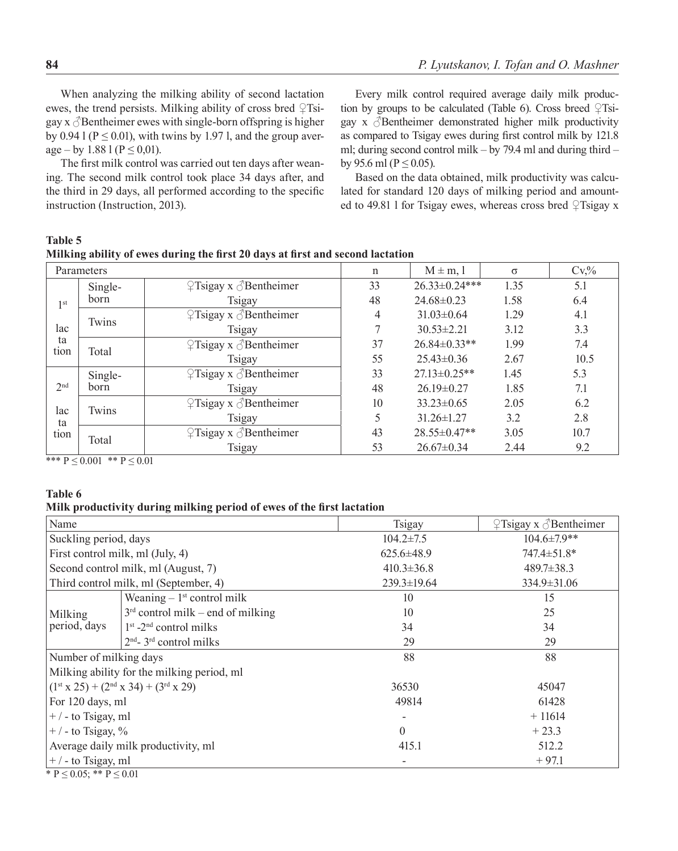┑

When analyzing the milking ability of second lactation ewes, the trend persists. Milking ability of cross bred  $\sqrt{2}$ Tsigay  $x \triangleleft$  Bentheimer ewes with single-born offspring is higher by 0.94 l ( $P \le 0.01$ ), with twins by 1.97 l, and the group average – by 1.88 l ( $P \le 0.01$ ).

The first milk control was carried out ten days after weaning. The second milk control took place 34 days after, and the third in 29 days, all performed according to the specific instruction (Instruction, 2013).

Every milk control required average daily milk production by groups to be calculated (Table 6). Cross breed  $\sqrt{2}$ Tsigay  $x \, \delta$ Bentheimer demonstrated higher milk productivity as compared to Tsigay ewes during first control milk by 121.8 ml; during second control milk – by 79.4 ml and during third – by 95.6 ml ( $P \le 0.05$ ).

Based on the data obtained, milk productivity was calculated for standard 120 days of milking period and amounted to 49.81 l for Tsigay ewes, whereas cross bred ♀Tsigay x

### **Table 5**

|            | Milking ability of ewes during the first 20 days at first and second lactation |                             |                  |
|------------|--------------------------------------------------------------------------------|-----------------------------|------------------|
| Parameters |                                                                                | $M \pm m$ . $\vert$ $\vert$ | $\rm{C}\rm{V}$ % |
|            |                                                                                |                             |                  |

|                 | r alameters |                                           | п  | $M \equiv H_1, 1$  | $\omega$ | $V$ , 70 |
|-----------------|-------------|-------------------------------------------|----|--------------------|----------|----------|
|                 | Single-     | $\sqrt{2}$ Tsigay x $\sqrt{3}$ Bentheimer | 33 | 26.33±0.24***      | 1.35     | 5.1      |
| 1 <sup>st</sup> | born        | Tsigay                                    | 48 | $24.68 \pm 0.23$   | 1.58     | 6.4      |
|                 | Twins       | $\sqrt{2}$ Tsigay x $\sqrt{3}$ Bentheimer | 4  | $31.03 \pm 0.64$   | 1.29     | 4.1      |
| lac             |             | Tsigay                                    |    | $30.53 \pm 2.21$   | 3.12     | 3.3      |
| ta<br>tion      | Total       | $\sqrt{2}$ Tsigay x $\sqrt{3}$ Bentheimer | 37 | $26.84 \pm 0.33**$ | 1.99     | 7.4      |
|                 |             | Tsigay                                    | 55 | $25.43 \pm 0.36$   | 2.67     | 10.5     |
|                 | Single-     | $\sqrt{2}$ Tsigay x $\sqrt{3}$ Bentheimer | 33 | $27.13 \pm 0.25**$ | 1.45     | 5.3      |
| 2 <sup>nd</sup> | born        | Tsigay                                    | 48 | $26.19 \pm 0.27$   | 1.85     | 7.1      |
| lac             | Twins       | $\sqrt{2}$ Tsigay x $\sqrt{3}$ Bentheimer | 10 | $33.23 \pm 0.65$   | 2.05     | 6.2      |
| ta              |             | Tsigay                                    |    | $31.26 \pm 1.27$   | 3.2      | 2.8      |
| tion            | Total       | $\sqrt{2}$ Tsigay x $\sqrt{3}$ Bentheimer | 43 | $28.55 \pm 0.47**$ | 3.05     | 10.7     |
|                 |             | Tsigay                                    | 53 | $26.67 \pm 0.34$   | 2.44     | 9.2      |

\*\*\*  $P \le 0.001$  \*\*  $P \le 0.01$ 

#### **Table 6**

#### **Milk productivity during milking period of ewes of the first lactation**

|                                         | Tsigay                                                                                                                                                                                                                                                                                                                                                                                                                                                                                                                       | $\sqrt{2}$ Tsigay x $\sqrt{3}$ Bentheimer |  |
|-----------------------------------------|------------------------------------------------------------------------------------------------------------------------------------------------------------------------------------------------------------------------------------------------------------------------------------------------------------------------------------------------------------------------------------------------------------------------------------------------------------------------------------------------------------------------------|-------------------------------------------|--|
|                                         | $104.2 \pm 7.5$                                                                                                                                                                                                                                                                                                                                                                                                                                                                                                              | 104.6±7.9**                               |  |
|                                         | $625.6 \pm 48.9$                                                                                                                                                                                                                                                                                                                                                                                                                                                                                                             | $747.4 \pm 51.8^*$                        |  |
|                                         | $410.3 \pm 36.8$                                                                                                                                                                                                                                                                                                                                                                                                                                                                                                             | $489.7 \pm 38.3$                          |  |
|                                         | 239.3±19.64<br>$334.9 \pm 31.06$                                                                                                                                                                                                                                                                                                                                                                                                                                                                                             |                                           |  |
| Weaning $-1$ <sup>st</sup> control milk | 10                                                                                                                                                                                                                                                                                                                                                                                                                                                                                                                           | 15                                        |  |
| $3rd$ control milk – end of milking     | 10                                                                                                                                                                                                                                                                                                                                                                                                                                                                                                                           | 25                                        |  |
| $1st$ -2 <sup>nd</sup> control milks    | 34                                                                                                                                                                                                                                                                                                                                                                                                                                                                                                                           | 34                                        |  |
| $2nd - 3rd$ control milks               | 29                                                                                                                                                                                                                                                                                                                                                                                                                                                                                                                           | 29                                        |  |
|                                         | 88                                                                                                                                                                                                                                                                                                                                                                                                                                                                                                                           | 88                                        |  |
|                                         |                                                                                                                                                                                                                                                                                                                                                                                                                                                                                                                              |                                           |  |
|                                         | 36530                                                                                                                                                                                                                                                                                                                                                                                                                                                                                                                        | 45047                                     |  |
|                                         | 49814                                                                                                                                                                                                                                                                                                                                                                                                                                                                                                                        | 61428                                     |  |
|                                         |                                                                                                                                                                                                                                                                                                                                                                                                                                                                                                                              | $+11614$                                  |  |
|                                         | $\theta$                                                                                                                                                                                                                                                                                                                                                                                                                                                                                                                     | $+23.3$                                   |  |
|                                         | 415.1                                                                                                                                                                                                                                                                                                                                                                                                                                                                                                                        | 512.2                                     |  |
|                                         |                                                                                                                                                                                                                                                                                                                                                                                                                                                                                                                              | $+97.1$                                   |  |
|                                         | Suckling period, days<br>First control milk, ml (July, 4)<br>Second control milk, ml (August, 7)<br>Third control milk, ml (September, 4)<br>Number of milking days<br>Milking ability for the milking period, ml<br>$(1st x 25) + (2nd x 34) + (3rd x 29)$<br>For 120 days, ml<br>$ +/-$ to Tsigay, ml<br>$ +/-$ to Tsigay, %<br>Average daily milk productivity, ml<br>$ +/-$ to Tsigay, ml<br>$\phi$ n $\phi$ and $\phi$ n $\phi$ and $\phi$ and $\phi$ and $\phi$ and $\phi$ and $\phi$ and $\phi$ and $\phi$ and $\phi$ |                                           |  |

\*  $P \le 0.05$ ; \*\*  $P \le 0.01$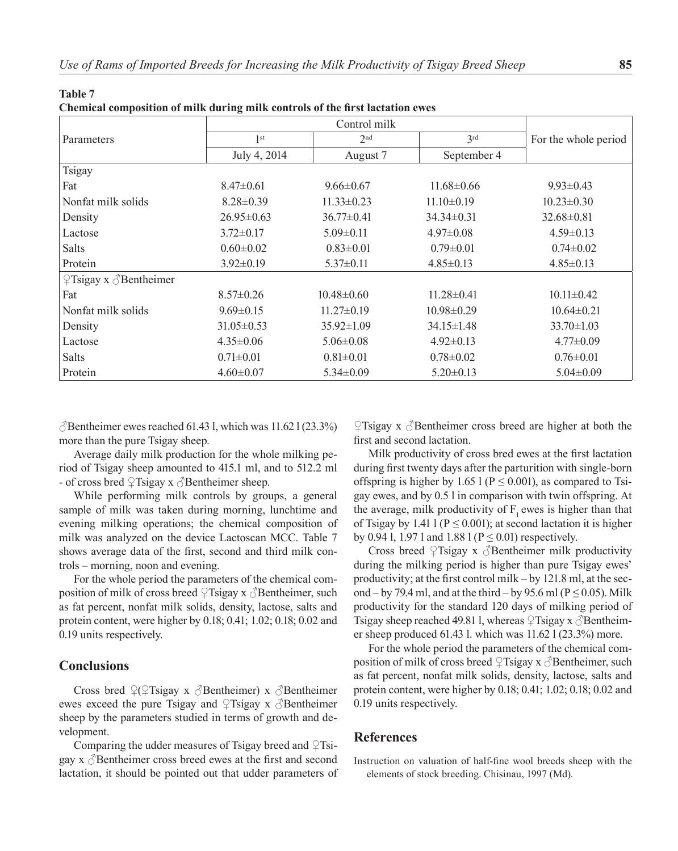| Parameters                                | 1 <sup>st</sup>  | 2 <sup>nd</sup>  | 3 <sup>rd</sup>  | For the whole period |
|-------------------------------------------|------------------|------------------|------------------|----------------------|
|                                           | July 4, 2014     | August 7         | September 4      |                      |
| <b>Tsigay</b>                             |                  |                  |                  |                      |
| Fat                                       | $8.47 \pm 0.61$  | $9.66 \pm 0.67$  | $11.68 \pm 0.66$ | $9.93 \pm 0.43$      |
| Nonfat milk solids                        | $8.28 \pm 0.39$  | $11.33 \pm 0.23$ | $11.10\pm0.19$   | $10.23 \pm 0.30$     |
| Density                                   | $26.95 \pm 0.63$ | $36.77 \pm 0.41$ | $34.34 \pm 0.31$ | $32.68 \pm 0.81$     |
| Lactose                                   | $3.72 \pm 0.17$  | $5.09 \pm 0.11$  | $4.97 \pm 0.08$  | $4.59 \pm 0.13$      |
| Salts                                     | $0.60 \pm 0.02$  | $0.83 \pm 0.01$  | $0.79 \pm 0.01$  | $0.74 \pm 0.02$      |
| Protein                                   | $3.92 \pm 0.19$  | $5.37 \pm 0.11$  | $4.85 \pm 0.13$  | $4.85 \pm 0.13$      |
| $\sqrt{2}$ Tsigay x $\sqrt{3}$ Bentheimer |                  |                  |                  |                      |
| Fat                                       | $8.57 \pm 0.26$  | $10.48 \pm 0.60$ | $11.28 \pm 0.41$ | $10.11 \pm 0.42$     |
| Nonfat milk solids                        | $9.69 \pm 0.15$  | $11.27 \pm 0.19$ | $10.98 \pm 0.29$ | $10.64 \pm 0.21$     |
| Density                                   | $31.05 \pm 0.53$ | $35.92 \pm 1.09$ | $34.15 \pm 1.48$ | $33.70 \pm 1.03$     |
| Lactose                                   | $4.35 \pm 0.06$  | $5.06 \pm 0.08$  | $4.92 \pm 0.13$  | $4.77 \pm 0.09$      |
| <b>Salts</b>                              | $0.71 \pm 0.01$  | $0.81 \pm 0.01$  | $0.78 \pm 0.02$  | $0.76 \pm 0.01$      |
| Protein                                   | $4.60 \pm 0.07$  | $5.34 \pm 0.09$  | $5.20 \pm 0.13$  | $5.04 \pm 0.09$      |

**Table 7 Chemical composition of milk during milk controls of the first lactation ewes**

 $\triangle$ Bentheimer ewes reached 61.43 l, which was 11.62 l (23.3%) more than the pure Tsigay sheep.

Average daily milk production for the whole milking period of Tsigay sheep amounted to 415.1 ml, and to 512.2 ml - of cross bred ♀Tsigay х ♂Bentheimer sheep.

While performing milk controls by groups, a general sample of milk was taken during morning, lunchtime and evening milking operations; the chemical composition of milk was analyzed on the device Lactoscan MCC. Table 7 shows average data of the first, second and third milk controls – morning, noon and evening.

For the whole period the parameters of the chemical composition of milk of cross breed  $\varphi$ Tsigay x  $\varphi$ Bentheimer, such as fat percent, nonfat milk solids, density, lactose, salts and protein content, were higher by 0.18; 0.41; 1.02; 0.18; 0.02 and 0.19 units respectively.

# **Conclusions**

Cross bred  $\mathcal{L}(\mathcal{T} \text{Sigma} \times \mathcal{S})$ Bentheimer) x  $\mathcal{S}$ Bentheimer ewes exceed the pure Tsigay and  $\varphi$ Tsigay x  $\varphi$ Bentheimer sheep by the parameters studied in terms of growth and development.

Comparing the udder measures of Tsigay breed and  $\sqrt{2}$ Tsigay  $x \beta$ Bentheimer cross breed ewes at the first and second lactation, it should be pointed out that udder parameters of  $\sqrt{2}$ Tsigay x  $\sqrt{3}$ Bentheimer cross breed are higher at both the first and second lactation.

Milk productivity of cross bred ewes at the first lactation during first twenty days after the parturition with single-born offspring is higher by 1.65 l ( $P \le 0.001$ ), as compared to Tsigay ewes, and by 0.5 l in comparison with twin offspring. At the average, milk productivity of  $F$ , ewes is higher than that of Tsigay by 1.41 l ( $P \le 0.001$ ); at second lactation it is higher by 0.94 l, 1.97 l and 1.88 l ( $P \le 0.01$ ) respectively.

Cross breed  $\sqrt{2}$ Tsigay x  $\sqrt{2}$ Bentheimer milk productivity during the milking period is higher than pure Tsigay ewes' productivity; at the first control milk – by 121.8 ml, at the second – by 79.4 ml, and at the third – by 95.6 ml ( $P \le 0.05$ ). Milk productivity for the standard 120 days of milking period of Tsigay sheep reached 49.81 l, whereas  $\frac{1}{2}$ Tsigay x  $\triangle$ Bentheimer sheep produced 61.43 l. which was 11.62 l (23.3%) more.

For the whole period the parameters of the chemical composition of milk of cross breed  $\mathcal{L}$ Tsigay x  $\Diamond$ Bentheimer, such as fat percent, nonfat milk solids, density, lactose, salts and protein content, were higher by 0.18; 0.41; 1.02; 0.18; 0.02 and 0.19 units respectively.

# **References**

Instruction on valuation of half-fine wool breeds sheep with the elements of stock breeding. Chisinau, 1997 (Md).